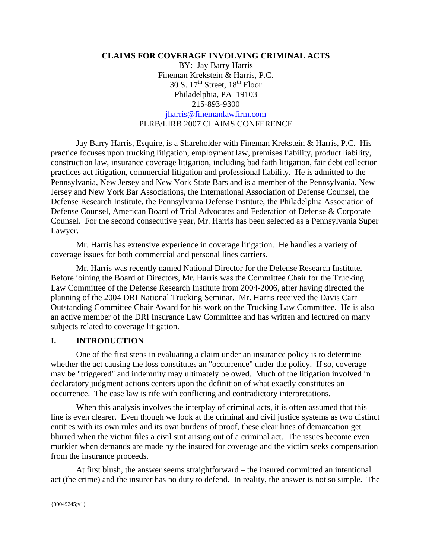#### **CLAIMS FOR COVERAGE INVOLVING CRIMINAL ACTS**

BY: Jay Barry Harris Fineman Krekstein & Harris, P.C. 30 S.  $17<sup>th</sup>$  Street,  $18<sup>th</sup>$  Floor Philadelphia, PA 19103 215-893-9300 jharris@finemanlawfirm.com PLRB/LIRB 2007 CLAIMS CONFERENCE

Jay Barry Harris, Esquire, is a Shareholder with Fineman Krekstein & Harris, P.C. His practice focuses upon trucking litigation, employment law, premises liability, product liability, construction law, insurance coverage litigation, including bad faith litigation, fair debt collection practices act litigation, commercial litigation and professional liability. He is admitted to the Pennsylvania, New Jersey and New York State Bars and is a member of the Pennsylvania, New Jersey and New York Bar Associations, the International Association of Defense Counsel, the Defense Research Institute, the Pennsylvania Defense Institute, the Philadelphia Association of Defense Counsel, American Board of Trial Advocates and Federation of Defense & Corporate Counsel. For the second consecutive year, Mr. Harris has been selected as a Pennsylvania Super Lawyer.

Mr. Harris has extensive experience in coverage litigation. He handles a variety of coverage issues for both commercial and personal lines carriers.

Mr. Harris was recently named National Director for the Defense Research Institute. Before joining the Board of Directors, Mr. Harris was the Committee Chair for the Trucking Law Committee of the Defense Research Institute from 2004-2006, after having directed the planning of the 2004 DRI National Trucking Seminar. Mr. Harris received the Davis Carr Outstanding Committee Chair Award for his work on the Trucking Law Committee. He is also an active member of the DRI Insurance Law Committee and has written and lectured on many subjects related to coverage litigation.

#### **I. INTRODUCTION**

One of the first steps in evaluating a claim under an insurance policy is to determine whether the act causing the loss constitutes an "occurrence" under the policy. If so, coverage may be "triggered" and indemnity may ultimately be owed. Much of the litigation involved in declaratory judgment actions centers upon the definition of what exactly constitutes an occurrence. The case law is rife with conflicting and contradictory interpretations.

 When this analysis involves the interplay of criminal acts, it is often assumed that this line is even clearer. Even though we look at the criminal and civil justice systems as two distinct entities with its own rules and its own burdens of proof, these clear lines of demarcation get blurred when the victim files a civil suit arising out of a criminal act. The issues become even murkier when demands are made by the insured for coverage and the victim seeks compensation from the insurance proceeds.

 At first blush, the answer seems straightforward – the insured committed an intentional act (the crime) and the insurer has no duty to defend. In reality, the answer is not so simple. The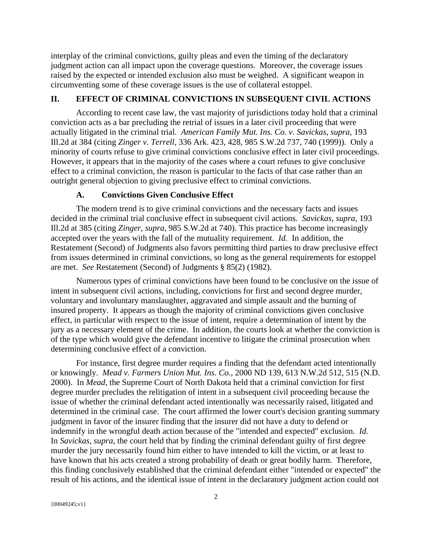interplay of the criminal convictions, guilty pleas and even the timing of the declaratory judgment action can all impact upon the coverage questions. Moreover, the coverage issues raised by the expected or intended exclusion also must be weighed. A significant weapon in circumventing some of these coverage issues is the use of collateral estoppel.

# **II. EFFECT OF CRIMINAL CONVICTIONS IN SUBSEQUENT CIVIL ACTIONS**

According to recent case law, the vast majority of jurisdictions today hold that a criminal conviction acts as a bar precluding the retrial of issues in a later civil proceeding that were actually litigated in the criminal trial. *American Family Mut. Ins. Co. v. Savickas*, *supra*, 193 Ill.2d at 384 (citing *Zinger v. Terrell*, 336 Ark. 423, 428, 985 S.W.2d 737, 740 (1999)). Only a minority of courts refuse to give criminal convictions conclusive effect in later civil proceedings. However, it appears that in the majority of the cases where a court refuses to give conclusive effect to a criminal conviction, the reason is particular to the facts of that case rather than an outright general objection to giving preclusive effect to criminal convictions.

### **A. Convictions Given Conclusive Effect**

The modern trend is to give criminal convictions and the necessary facts and issues decided in the criminal trial conclusive effect in subsequent civil actions. *Savickas*, *supra*, 193 Ill.2d at 385 (citing *Zinger, supra,* 985 S.W.2d at 740). This practice has become increasingly accepted over the years with the fall of the mutuality requirement. *Id.* In addition, the Restatement (Second) of Judgments also favors permitting third parties to draw preclusive effect from issues determined in criminal convictions, so long as the general requirements for estoppel are met. *See* Restatement (Second) of Judgments § 85(2) (1982).

Numerous types of criminal convictions have been found to be conclusive on the issue of intent in subsequent civil actions, including, convictions for first and second degree murder, voluntary and involuntary manslaughter, aggravated and simple assault and the burning of insured property. It appears as though the majority of criminal convictions given conclusive effect, in particular with respect to the issue of intent, require a determination of intent by the jury as a necessary element of the crime. In addition, the courts look at whether the conviction is of the type which would give the defendant incentive to litigate the criminal prosecution when determining conclusive effect of a conviction.

 For instance, first degree murder requires a finding that the defendant acted intentionally or knowingly. *Mead v. Farmers Union Mut. Ins. Co.*, 2000 ND 139, 613 N.W.2d 512, 515 (N.D. 2000). In *Mead*, the Supreme Court of North Dakota held that a criminal conviction for first degree murder precludes the relitigation of intent in a subsequent civil proceeding because the issue of whether the criminal defendant acted intentionally was necessarily raised, litigated and determined in the criminal case. The court affirmed the lower court's decision granting summary judgment in favor of the insurer finding that the insurer did not have a duty to defend or indemnify in the wrongful death action because of the "intended and expected" exclusion. *Id.*  In *Savickas*, *supra*, the court held that by finding the criminal defendant guilty of first degree murder the jury necessarily found him either to have intended to kill the victim, or at least to have known that his acts created a strong probability of death or great bodily harm. Therefore, this finding conclusively established that the criminal defendant either "intended or expected" the result of his actions, and the identical issue of intent in the declaratory judgment action could not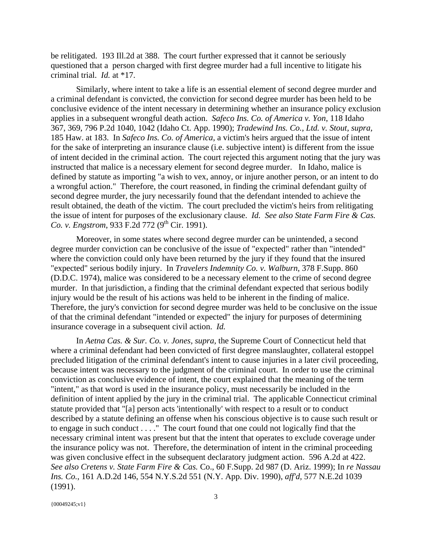be relitigated. 193 Ill.2d at 388. The court further expressed that it cannot be seriously questioned that a person charged with first degree murder had a full incentive to litigate his criminal trial. *Id.* at \*17.

 Similarly, where intent to take a life is an essential element of second degree murder and a criminal defendant is convicted, the conviction for second degree murder has been held to be conclusive evidence of the intent necessary in determining whether an insurance policy exclusion applies in a subsequent wrongful death action. *Safeco Ins. Co. of America v. Yon*, 118 Idaho 367, 369, 796 P.2d 1040, 1042 (Idaho Ct. App. 1990); *Tradewind Ins. Co., Ltd. v. Stout, supra,* 185 Haw. at 183. In *Safeco Ins. Co. of America*, a victim's heirs argued that the issue of intent for the sake of interpreting an insurance clause (i.e. subjective intent) is different from the issue of intent decided in the criminal action. The court rejected this argument noting that the jury was instructed that malice is a necessary element for second degree murder. In Idaho, malice is defined by statute as importing "a wish to vex, annoy, or injure another person, or an intent to do a wrongful action." Therefore, the court reasoned, in finding the criminal defendant guilty of second degree murder, the jury necessarily found that the defendant intended to achieve the result obtained, the death of the victim. The court precluded the victim's heirs from relitigating the issue of intent for purposes of the exclusionary clause. *Id. See also State Farm Fire & Cas. Co. v. Engstrom,* 933 F.2d 772 ( $9^{th}$  Cir. 1991).

Moreover, in some states where second degree murder can be unintended, a second degree murder conviction can be conclusive of the issue of "expected" rather than "intended" where the conviction could only have been returned by the jury if they found that the insured "expected" serious bodily injury. In *Travelers Indemnity Co. v. Walburn*, 378 F.Supp. 860 (D.D.C. 1974), malice was considered to be a necessary element to the crime of second degree murder. In that jurisdiction, a finding that the criminal defendant expected that serious bodily injury would be the result of his actions was held to be inherent in the finding of malice. Therefore, the jury's conviction for second degree murder was held to be conclusive on the issue of that the criminal defendant "intended or expected" the injury for purposes of determining insurance coverage in a subsequent civil action. *Id.*

 In *Aetna Cas. & Sur. Co. v. Jones, supra,* the Supreme Court of Connecticut held that where a criminal defendant had been convicted of first degree manslaughter, collateral estoppel precluded litigation of the criminal defendant's intent to cause injuries in a later civil proceeding, because intent was necessary to the judgment of the criminal court. In order to use the criminal conviction as conclusive evidence of intent, the court explained that the meaning of the term "intent," as that word is used in the insurance policy, must necessarily be included in the definition of intent applied by the jury in the criminal trial. The applicable Connecticut criminal statute provided that "[a] person acts 'intentionally' with respect to a result or to conduct described by a statute defining an offense when his conscious objective is to cause such result or to engage in such conduct . . . ." The court found that one could not logically find that the necessary criminal intent was present but that the intent that operates to exclude coverage under the insurance policy was not. Therefore, the determination of intent in the criminal proceeding was given conclusive effect in the subsequent declaratory judgment action. 596 A.2d at 422. *See also Cretens v. State Farm Fire & Cas.* Co., 60 F.Supp. 2d 987 (D. Ariz. 1999); In *re Nassau Ins. Co.*, 161 A.D.2d 146, 554 N.Y.S.2d 551 (N.Y. App. Div. 1990), *aff'd,* 577 N.E.2d 1039 (1991).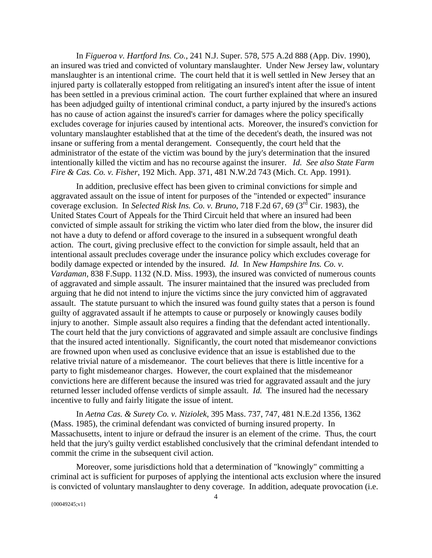In *Figueroa v. Hartford Ins. Co.*, 241 N.J. Super. 578, 575 A.2d 888 (App. Div. 1990), an insured was tried and convicted of voluntary manslaughter. Under New Jersey law, voluntary manslaughter is an intentional crime. The court held that it is well settled in New Jersey that an injured party is collaterally estopped from relitigating an insured's intent after the issue of intent has been settled in a previous criminal action. The court further explained that where an insured has been adjudged guilty of intentional criminal conduct, a party injured by the insured's actions has no cause of action against the insured's carrier for damages where the policy specifically excludes coverage for injuries caused by intentional acts. Moreover, the insured's conviction for voluntary manslaughter established that at the time of the decedent's death, the insured was not insane or suffering from a mental derangement. Consequently, the court held that the administrator of the estate of the victim was bound by the jury's determination that the insured intentionally killed the victim and has no recourse against the insurer. *Id. See also State Farm Fire & Cas. Co. v. Fisher*, 192 Mich. App. 371, 481 N.W.2d 743 (Mich. Ct. App. 1991).

 In addition, preclusive effect has been given to criminal convictions for simple and aggravated assault on the issue of intent for purposes of the "intended or expected" insurance coverage exclusion. In *Selected Risk Ins. Co. v. Bruno*, 718 F.2d 67, 69 (3<sup>rd</sup> Cir. 1983), the United States Court of Appeals for the Third Circuit held that where an insured had been convicted of simple assault for striking the victim who later died from the blow, the insurer did not have a duty to defend or afford coverage to the insured in a subsequent wrongful death action. The court, giving preclusive effect to the conviction for simple assault, held that an intentional assault precludes coverage under the insurance policy which excludes coverage for bodily damage expected or intended by the insured. *Id.* In *New Hampshire Ins. Co. v. Vardaman*, 838 F.Supp. 1132 (N.D. Miss. 1993), the insured was convicted of numerous counts of aggravated and simple assault. The insurer maintained that the insured was precluded from arguing that he did not intend to injure the victims since the jury convicted him of aggravated assault. The statute pursuant to which the insured was found guilty states that a person is found guilty of aggravated assault if he attempts to cause or purposely or knowingly causes bodily injury to another. Simple assault also requires a finding that the defendant acted intentionally. The court held that the jury convictions of aggravated and simple assault are conclusive findings that the insured acted intentionally. Significantly, the court noted that misdemeanor convictions are frowned upon when used as conclusive evidence that an issue is established due to the relative trivial nature of a misdemeanor. The court believes that there is little incentive for a party to fight misdemeanor charges. However, the court explained that the misdemeanor convictions here are different because the insured was tried for aggravated assault and the jury returned lesser included offense verdicts of simple assault. *Id.* The insured had the necessary incentive to fully and fairly litigate the issue of intent.

 In *Aetna Cas. & Surety Co. v. Niziolek*, 395 Mass. 737, 747, 481 N.E.2d 1356, 1362 (Mass. 1985), the criminal defendant was convicted of burning insured property. In Massachusetts, intent to injure or defraud the insurer is an element of the crime. Thus, the court held that the jury's guilty verdict established conclusively that the criminal defendant intended to commit the crime in the subsequent civil action.

 Moreover, some jurisdictions hold that a determination of "knowingly" committing a criminal act is sufficient for purposes of applying the intentional acts exclusion where the insured is convicted of voluntary manslaughter to deny coverage. In addition, adequate provocation (i.e.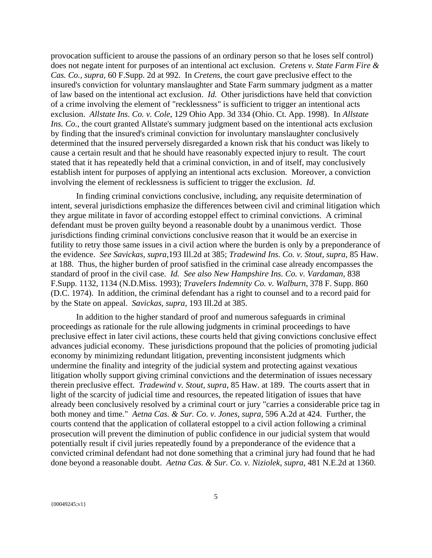provocation sufficient to arouse the passions of an ordinary person so that he loses self control) does not negate intent for purposes of an intentional act exclusion. *Cretens v. State Farm Fire & Cas. Co., supra,* 60 F.Supp. 2d at 992. In *Cretens*, the court gave preclusive effect to the insured's conviction for voluntary manslaughter and State Farm summary judgment as a matter of law based on the intentional act exclusion. *Id.* Other jurisdictions have held that conviction of a crime involving the element of "recklessness" is sufficient to trigger an intentional acts exclusion. *Allstate Ins. Co. v. Cole*, 129 Ohio App. 3d 334 (Ohio. Ct. App. 1998). In *Allstate Ins. Co.*, the court granted Allstate's summary judgment based on the intentional acts exclusion by finding that the insured's criminal conviction for involuntary manslaughter conclusively determined that the insured perversely disregarded a known risk that his conduct was likely to cause a certain result and that he should have reasonably expected injury to result. The court stated that it has repeatedly held that a criminal conviction, in and of itself, may conclusively establish intent for purposes of applying an intentional acts exclusion. Moreover, a conviction involving the element of recklessness is sufficient to trigger the exclusion. *Id.* 

 In finding criminal convictions conclusive, including, any requisite determination of intent, several jurisdictions emphasize the differences between civil and criminal litigation which they argue militate in favor of according estoppel effect to criminal convictions. A criminal defendant must be proven guilty beyond a reasonable doubt by a unanimous verdict. Those jurisdictions finding criminal convictions conclusive reason that it would be an exercise in futility to retry those same issues in a civil action where the burden is only by a preponderance of the evidence. *See Savickas, supra,*193 Ill.2d at 385; *Tradewind Ins. Co. v. Stout*, *supra*, 85 Haw. at 188. Thus, the higher burden of proof satisfied in the criminal case already encompasses the standard of proof in the civil case. *Id. See also New Hampshire Ins. Co. v. Vardaman,* 838 F.Supp. 1132, 1134 (N.D.Miss. 1993); *Travelers Indemnity Co. v. Walburn*, 378 F. Supp. 860 (D.C. 1974). In addition, the criminal defendant has a right to counsel and to a record paid for by the State on appeal. *Savickas, supra,* 193 Ill.2d at 385.

 In addition to the higher standard of proof and numerous safeguards in criminal proceedings as rationale for the rule allowing judgments in criminal proceedings to have preclusive effect in later civil actions, these courts held that giving convictions conclusive effect advances judicial economy. These jurisdictions propound that the policies of promoting judicial economy by minimizing redundant litigation, preventing inconsistent judgments which undermine the finality and integrity of the judicial system and protecting against vexatious litigation wholly support giving criminal convictions and the determination of issues necessary therein preclusive effect. *Tradewind v. Stout, supra,* 85 Haw. at 189. The courts assert that in light of the scarcity of judicial time and resources, the repeated litigation of issues that have already been conclusively resolved by a criminal court or jury "carries a considerable price tag in both money and time." *Aetna Cas. & Sur. Co. v. Jones, supra*, 596 A.2d at 424. Further, the courts contend that the application of collateral estoppel to a civil action following a criminal prosecution will prevent the diminution of public confidence in our judicial system that would potentially result if civil juries repeatedly found by a preponderance of the evidence that a convicted criminal defendant had not done something that a criminal jury had found that he had done beyond a reasonable doubt. *Aetna Cas. & Sur. Co. v. Niziolek*, *supra*, 481 N.E.2d at 1360.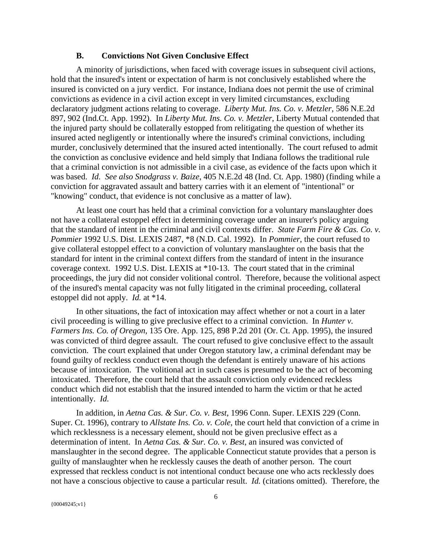#### **B. Convictions Not Given Conclusive Effect**

A minority of jurisdictions, when faced with coverage issues in subsequent civil actions, hold that the insured's intent or expectation of harm is not conclusively established where the insured is convicted on a jury verdict. For instance, Indiana does not permit the use of criminal convictions as evidence in a civil action except in very limited circumstances, excluding declaratory judgment actions relating to coverage. *Liberty Mut. Ins. Co. v. Metzler*, 586 N.E.2d 897, 902 (Ind.Ct. App. 1992). In *Liberty Mut. Ins. Co. v. Metzler*, Liberty Mutual contended that the injured party should be collaterally estopped from relitigating the question of whether its insured acted negligently or intentionally where the insured's criminal convictions, including murder, conclusively determined that the insured acted intentionally. The court refused to admit the conviction as conclusive evidence and held simply that Indiana follows the traditional rule that a criminal conviction is not admissible in a civil case, as evidence of the facts upon which it was based. *Id. See also Snodgrass v. Baize*, 405 N.E.2d 48 (Ind. Ct. App. 1980) (finding while a conviction for aggravated assault and battery carries with it an element of "intentional" or "knowing" conduct, that evidence is not conclusive as a matter of law).

 At least one court has held that a criminal conviction for a voluntary manslaughter does not have a collateral estoppel effect in determining coverage under an insurer's policy arguing that the standard of intent in the criminal and civil contexts differ. *State Farm Fire & Cas. Co. v. Pommier* 1992 U.S. Dist. LEXIS 2487, \*8 (N.D. Cal. 1992). In *Pommier*, the court refused to give collateral estoppel effect to a conviction of voluntary manslaughter on the basis that the standard for intent in the criminal context differs from the standard of intent in the insurance coverage context. 1992 U.S. Dist. LEXIS at \*10-13. The court stated that in the criminal proceedings, the jury did not consider volitional control. Therefore, because the volitional aspect of the insured's mental capacity was not fully litigated in the criminal proceeding, collateral estoppel did not apply. *Id.* at \*14.

 In other situations, the fact of intoxication may affect whether or not a court in a later civil proceeding is willing to give preclusive effect to a criminal conviction. In *Hunter v. Farmers Ins. Co. of Oregon*, 135 Ore. App. 125, 898 P.2d 201 (Or. Ct. App. 1995), the insured was convicted of third degree assault. The court refused to give conclusive effect to the assault conviction. The court explained that under Oregon statutory law, a criminal defendant may be found guilty of reckless conduct even though the defendant is entirely unaware of his actions because of intoxication. The volitional act in such cases is presumed to be the act of becoming intoxicated. Therefore, the court held that the assault conviction only evidenced reckless conduct which did not establish that the insured intended to harm the victim or that he acted intentionally. *Id.*

 In addition, in *Aetna Cas. & Sur. Co. v. Best*, 1996 Conn. Super. LEXIS 229 (Conn. Super. Ct. 1996), contrary to *Allstate Ins. Co. v. Cole*, the court held that conviction of a crime in which recklessness is a necessary element, should not be given preclusive effect as a determination of intent. In *Aetna Cas. & Sur. Co. v. Best*, an insured was convicted of manslaughter in the second degree. The applicable Connecticut statute provides that a person is guilty of manslaughter when he recklessly causes the death of another person. The court expressed that reckless conduct is not intentional conduct because one who acts recklessly does not have a conscious objective to cause a particular result. *Id.* (citations omitted). Therefore, the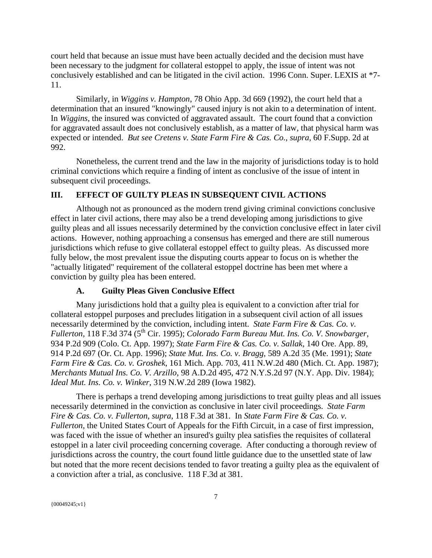court held that because an issue must have been actually decided and the decision must have been necessary to the judgment for collateral estoppel to apply, the issue of intent was not conclusively established and can be litigated in the civil action. 1996 Conn. Super. LEXIS at \*7- 11.

 Similarly, in *Wiggins v. Hampton*, 78 Ohio App. 3d 669 (1992), the court held that a determination that an insured "knowingly" caused injury is not akin to a determination of intent. In *Wiggins*, the insured was convicted of aggravated assault. The court found that a conviction for aggravated assault does not conclusively establish, as a matter of law, that physical harm was expected or intended. *But see Cretens v. State Farm Fire & Cas. Co., supra,* 60 F.Supp. 2d at 992.

 Nonetheless, the current trend and the law in the majority of jurisdictions today is to hold criminal convictions which require a finding of intent as conclusive of the issue of intent in subsequent civil proceedings.

# **III. EFFECT OF GUILTY PLEAS IN SUBSEQUENT CIVIL ACTIONS**

 Although not as pronounced as the modern trend giving criminal convictions conclusive effect in later civil actions, there may also be a trend developing among jurisdictions to give guilty pleas and all issues necessarily determined by the conviction conclusive effect in later civil actions. However, nothing approaching a consensus has emerged and there are still numerous jurisdictions which refuse to give collateral estoppel effect to guilty pleas. As discussed more fully below, the most prevalent issue the disputing courts appear to focus on is whether the "actually litigated" requirement of the collateral estoppel doctrine has been met where a conviction by guilty plea has been entered.

## **A. Guilty Pleas Given Conclusive Effect**

Many jurisdictions hold that a guilty plea is equivalent to a conviction after trial for collateral estoppel purposes and precludes litigation in a subsequent civil action of all issues necessarily determined by the conviction, including intent. *State Farm Fire & Cas. Co. v. Fullerton*, 118 F.3d 374 (5th Cir. 1995); *Colorado Farm Bureau Mut. Ins. Co. V. Snowbarger*, 934 P.2d 909 (Colo. Ct. App. 1997); *State Farm Fire & Cas. Co. v. Sallak*, 140 Ore. App. 89, 914 P.2d 697 (Or. Ct. App. 1996); *State Mut. Ins. Co. v. Bragg*, 589 A.2d 35 (Me. 1991); *State Farm Fire & Cas. Co. v. Groshek*, 161 Mich. App. 703, 411 N.W.2d 480 (Mich. Ct. App. 1987); *Merchants Mutual Ins. Co. V. Arzillo*, 98 A.D.2d 495, 472 N.Y.S.2d 97 (N.Y. App. Div. 1984); *Ideal Mut. Ins. Co. v. Winker*, 319 N.W.2d 289 (Iowa 1982).

 There is perhaps a trend developing among jurisdictions to treat guilty pleas and all issues necessarily determined in the conviction as conclusive in later civil proceedings. *State Farm Fire & Cas. Co. v. Fullerton*, *supra*, 118 F.3d at 381. In *State Farm Fire & Cas. Co. v. Fullerton*, the United States Court of Appeals for the Fifth Circuit, in a case of first impression, was faced with the issue of whether an insured's guilty plea satisfies the requisites of collateral estoppel in a later civil proceeding concerning coverage. After conducting a thorough review of jurisdictions across the country, the court found little guidance due to the unsettled state of law but noted that the more recent decisions tended to favor treating a guilty plea as the equivalent of a conviction after a trial, as conclusive. 118 F.3d at 381.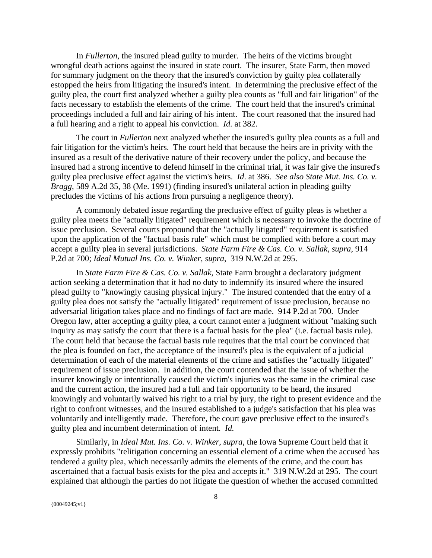In *Fullerton*, the insured plead guilty to murder. The heirs of the victims brought wrongful death actions against the insured in state court. The insurer, State Farm, then moved for summary judgment on the theory that the insured's conviction by guilty plea collaterally estopped the heirs from litigating the insured's intent. In determining the preclusive effect of the guilty plea, the court first analyzed whether a guilty plea counts as "full and fair litigation" of the facts necessary to establish the elements of the crime. The court held that the insured's criminal proceedings included a full and fair airing of his intent. The court reasoned that the insured had a full hearing and a right to appeal his conviction. *Id.* at 382.

 The court in *Fullerton* next analyzed whether the insured's guilty plea counts as a full and fair litigation for the victim's heirs. The court held that because the heirs are in privity with the insured as a result of the derivative nature of their recovery under the policy, and because the insured had a strong incentive to defend himself in the criminal trial, it was fair give the insured's guilty plea preclusive effect against the victim's heirs. *Id*. at 386. *See also State Mut. Ins. Co. v. Bragg*, 589 A.2d 35, 38 (Me. 1991) (finding insured's unilateral action in pleading guilty precludes the victims of his actions from pursuing a negligence theory).

 A commonly debated issue regarding the preclusive effect of guilty pleas is whether a guilty plea meets the "actually litigated" requirement which is necessary to invoke the doctrine of issue preclusion. Several courts propound that the "actually litigated" requirement is satisfied upon the application of the "factual basis rule" which must be complied with before a court may accept a guilty plea in several jurisdictions. *State Farm Fire & Cas. Co. v. Sallak*, *supra*, 914 P.2d at 700; *Ideal Mutual Ins. Co. v. Winker*, *supra*, 319 N.W.2d at 295.

 In *State Farm Fire & Cas. Co. v. Sallak*, State Farm brought a declaratory judgment action seeking a determination that it had no duty to indemnify its insured where the insured plead guilty to "knowingly causing physical injury." The insured contended that the entry of a guilty plea does not satisfy the "actually litigated" requirement of issue preclusion, because no adversarial litigation takes place and no findings of fact are made. 914 P.2d at 700. Under Oregon law, after accepting a guilty plea, a court cannot enter a judgment without "making such inquiry as may satisfy the court that there is a factual basis for the plea" (i.e. factual basis rule). The court held that because the factual basis rule requires that the trial court be convinced that the plea is founded on fact, the acceptance of the insured's plea is the equivalent of a judicial determination of each of the material elements of the crime and satisfies the "actually litigated" requirement of issue preclusion. In addition, the court contended that the issue of whether the insurer knowingly or intentionally caused the victim's injuries was the same in the criminal case and the current action, the insured had a full and fair opportunity to be heard, the insured knowingly and voluntarily waived his right to a trial by jury, the right to present evidence and the right to confront witnesses, and the insured established to a judge's satisfaction that his plea was voluntarily and intelligently made. Therefore, the court gave preclusive effect to the insured's guilty plea and incumbent determination of intent. *Id.* 

Similarly, in *Ideal Mut. Ins. Co. v. Winker*, *supra*, the Iowa Supreme Court held that it expressly prohibits "relitigation concerning an essential element of a crime when the accused has tendered a guilty plea, which necessarily admits the elements of the crime, and the court has ascertained that a factual basis exists for the plea and accepts it." 319 N.W.2d at 295. The court explained that although the parties do not litigate the question of whether the accused committed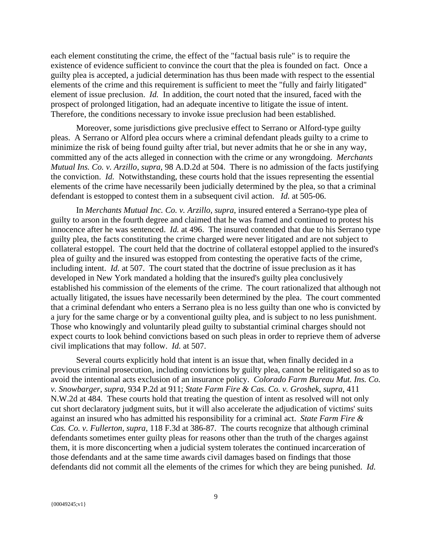each element constituting the crime, the effect of the "factual basis rule" is to require the existence of evidence sufficient to convince the court that the plea is founded on fact. Once a guilty plea is accepted, a judicial determination has thus been made with respect to the essential elements of the crime and this requirement is sufficient to meet the "fully and fairly litigated" element of issue preclusion. *Id.* In addition, the court noted that the insured, faced with the prospect of prolonged litigation, had an adequate incentive to litigate the issue of intent. Therefore, the conditions necessary to invoke issue preclusion had been established.

 Moreover, some jurisdictions give preclusive effect to Serrano or Alford-type guilty pleas. A Serrano or Alford plea occurs where a criminal defendant pleads guilty to a crime to minimize the risk of being found guilty after trial, but never admits that he or she in any way, committed any of the acts alleged in connection with the crime or any wrongdoing. *Merchants Mutual Ins. Co. v. Arzillo*, *supra*, 98 A.D.2d at 504. There is no admission of the facts justifying the conviction. *Id.* Notwithstanding, these courts hold that the issues representing the essential elements of the crime have necessarily been judicially determined by the plea, so that a criminal defendant is estopped to contest them in a subsequent civil action. *Id.* at 505-06.

 In *Merchants Mutual Inc. Co. v. Arzillo*, *supra*, insured entered a Serrano-type plea of guilty to arson in the fourth degree and claimed that he was framed and continued to protest his innocence after he was sentenced. *Id.* at 496. The insured contended that due to his Serrano type guilty plea, the facts constituting the crime charged were never litigated and are not subject to collateral estoppel. The court held that the doctrine of collateral estoppel applied to the insured's plea of guilty and the insured was estopped from contesting the operative facts of the crime, including intent. *Id.* at 507. The court stated that the doctrine of issue preclusion as it has developed in New York mandated a holding that the insured's guilty plea conclusively established his commission of the elements of the crime. The court rationalized that although not actually litigated, the issues have necessarily been determined by the plea. The court commented that a criminal defendant who enters a Serrano plea is no less guilty than one who is convicted by a jury for the same charge or by a conventional guilty plea, and is subject to no less punishment. Those who knowingly and voluntarily plead guilty to substantial criminal charges should not expect courts to look behind convictions based on such pleas in order to reprieve them of adverse civil implications that may follow. *Id.* at 507.

Several courts explicitly hold that intent is an issue that, when finally decided in a previous criminal prosecution, including convictions by guilty plea, cannot be relitigated so as to avoid the intentional acts exclusion of an insurance policy. *Colorado Farm Bureau Mut. Ins. Co. v. Snowbarger*, *supra*, 934 P.2d at 911; *State Farm Fire & Cas. Co. v. Groshek*, *supra*, 411 N.W.2d at 484.These courts hold that treating the question of intent as resolved will not only cut short declaratory judgment suits, but it will also accelerate the adjudication of victims' suits against an insured who has admitted his responsibility for a criminal act. *State Farm Fire & Cas. Co. v. Fullerton*, *supra*, 118 F.3d at 386-87. The courts recognize that although criminal defendants sometimes enter guilty pleas for reasons other than the truth of the charges against them, it is more disconcerting when a judicial system tolerates the continued incarceration of those defendants and at the same time awards civil damages based on findings that those defendants did not commit all the elements of the crimes for which they are being punished. *Id.*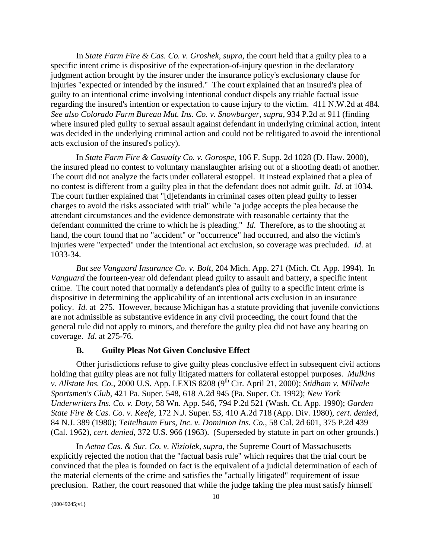In *State Farm Fire & Cas. Co. v. Groshek*, *supra*, the court held that a guilty plea to a specific intent crime is dispositive of the expectation-of-injury question in the declaratory judgment action brought by the insurer under the insurance policy's exclusionary clause for injuries "expected or intended by the insured." The court explained that an insured's plea of guilty to an intentional crime involving intentional conduct dispels any triable factual issue regarding the insured's intention or expectation to cause injury to the victim. 411 N.W.2d at 484*. See also Colorado Farm Bureau Mut. Ins. Co. v. Snowbarger*, *supra*, 934 P.2d at 911 (finding where insured pled guilty to sexual assault against defendant in underlying criminal action, intent was decided in the underlying criminal action and could not be relitigated to avoid the intentional acts exclusion of the insured's policy).

In *State Farm Fire & Casualty Co. v. Gorospe*, 106 F. Supp. 2d 1028 (D. Haw. 2000), the insured plead no contest to voluntary manslaughter arising out of a shooting death of another. The court did not analyze the facts under collateral estoppel. It instead explained that a plea of no contest is different from a guilty plea in that the defendant does not admit guilt. *Id*. at 1034. The court further explained that "[d]efendants in criminal cases often plead guilty to lesser charges to avoid the risks associated with trial" while "a judge accepts the plea because the attendant circumstances and the evidence demonstrate with reasonable certainty that the defendant committed the crime to which he is pleading." *Id*. Therefore, as to the shooting at hand, the court found that no "accident" or "occurrence" had occurred, and also the victim's injuries were "expected" under the intentional act exclusion, so coverage was precluded. *Id*. at 1033-34.

*But see Vanguard Insurance Co. v. Bolt*, 204 Mich. App. 271 (Mich. Ct. App. 1994). In *Vanguard* the fourteen-year old defendant plead guilty to assault and battery, a specific intent crime.The court noted that normally a defendant's plea of guilty to a specific intent crime is dispositive in determining the applicability of an intentional acts exclusion in an insurance policy. *Id.* at 275. However, because Michigan has a statute providing that juvenile convictions are not admissible as substantive evidence in any civil proceeding, the court found that the general rule did not apply to minors, and therefore the guilty plea did not have any bearing on coverage. *Id*. at 275-76.

#### **B. Guilty Pleas Not Given Conclusive Effect**

Other jurisdictions refuse to give guilty pleas conclusive effect in subsequent civil actions holding that guilty pleas are not fully litigated matters for collateral estoppel purposes. *Mulkins v. Allstate Ins. Co.*, 2000 U.S. App. LEXIS 8208 (9<sup>th</sup> Cir. April 21, 2000); *Stidham v. Millvale Sportsmen's Club*, 421 Pa. Super. 548, 618 A.2d 945 (Pa. Super. Ct. 1992); *New York Underwriters Ins. Co. v. Doty*, 58 Wn. App. 546, 794 P.2d 521 (Wash. Ct. App. 1990); *Garden State Fire & Cas. Co. v. Keefe*, 172 N.J. Super. 53, 410 A.2d 718 (App. Div. 1980), *cert. denied*, 84 N.J. 389 (1980); *Teitelbaum Furs, Inc. v. Dominion Ins. Co.*, 58 Cal. 2d 601, 375 P.2d 439 (Cal. 1962), *cert. denied*, 372 U.S. 966 (1963). (Superseded by statute in part on other grounds.)

 In *Aetna Cas. & Sur. Co. v. Niziolek*, *supra*, the Supreme Court of Massachusetts explicitly rejected the notion that the "factual basis rule" which requires that the trial court be convinced that the plea is founded on fact is the equivalent of a judicial determination of each of the material elements of the crime and satisfies the "actually litigated" requirement of issue preclusion. Rather, the court reasoned that while the judge taking the plea must satisfy himself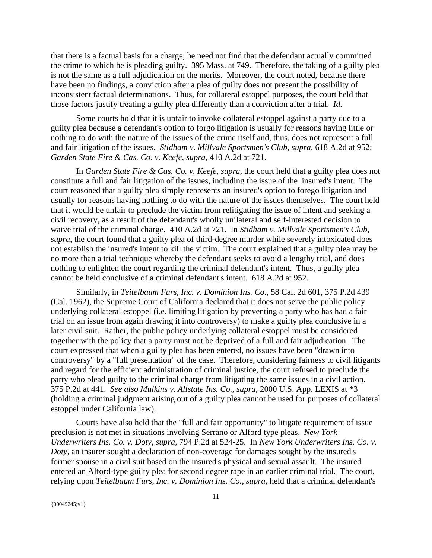that there is a factual basis for a charge, he need not find that the defendant actually committed the crime to which he is pleading guilty. 395 Mass. at 749. Therefore, the taking of a guilty plea is not the same as a full adjudication on the merits. Moreover, the court noted, because there have been no findings, a conviction after a plea of guilty does not present the possibility of inconsistent factual determinations. Thus, for collateral estoppel purposes, the court held that those factors justify treating a guilty plea differently than a conviction after a trial. *Id.*

 Some courts hold that it is unfair to invoke collateral estoppel against a party due to a guilty plea because a defendant's option to forgo litigation is usually for reasons having little or nothing to do with the nature of the issues of the crime itself and, thus, does not represent a full and fair litigation of the issues. *Stidham v. Millvale Sportsmen's Club*, *supra*, 618 A.2d at 952; *Garden State Fire & Cas. Co. v. Keefe*, *supra*, 410 A.2d at 721.

 In *Garden State Fire & Cas. Co. v. Keefe, supra*, the court held that a guilty plea does not constitute a full and fair litigation of the issues, including the issue of the insured's intent. The court reasoned that a guilty plea simply represents an insured's option to forego litigation and usually for reasons having nothing to do with the nature of the issues themselves. The court held that it would be unfair to preclude the victim from relitigating the issue of intent and seeking a civil recovery, as a result of the defendant's wholly unilateral and self-interested decision to waive trial of the criminal charge. 410 A.2d at 721. In *Stidham v. Millvale Sportsmen's Club*, *supra*, the court found that a guilty plea of third-degree murder while severely intoxicated does not establish the insured's intent to kill the victim. The court explained that a guilty plea may be no more than a trial technique whereby the defendant seeks to avoid a lengthy trial, and does nothing to enlighten the court regarding the criminal defendant's intent. Thus, a guilty plea cannot be held conclusive of a criminal defendant's intent. 618 A.2d at 952.

 Similarly, in *Teitelbaum Furs, Inc. v. Dominion Ins. Co.*, 58 Cal. 2d 601, 375 P.2d 439 (Cal. 1962), the Supreme Court of California declared that it does not serve the public policy underlying collateral estoppel (i.e. limiting litigation by preventing a party who has had a fair trial on an issue from again drawing it into controversy) to make a guilty plea conclusive in a later civil suit. Rather, the public policy underlying collateral estoppel must be considered together with the policy that a party must not be deprived of a full and fair adjudication. The court expressed that when a guilty plea has been entered, no issues have been "drawn into controversy" by a "full presentation" of the case. Therefore, considering fairness to civil litigants and regard for the efficient administration of criminal justice, the court refused to preclude the party who plead guilty to the criminal charge from litigating the same issues in a civil action. 375 P.2d at 441. *See also Mulkins v. Allstate Ins. Co., supra*, 2000 U.S. App. LEXIS at \*3 (holding a criminal judgment arising out of a guilty plea cannot be used for purposes of collateral estoppel under California law).

 Courts have also held that the "full and fair opportunity" to litigate requirement of issue preclusion is not met in situations involving Serrano or Alford type pleas. *New York Underwriters Ins. Co. v. Doty*, *supra*, 794 P.2d at 524-25. In *New York Underwriters Ins. Co. v. Doty,* an insurer sought a declaration of non-coverage for damages sought by the insured's former spouse in a civil suit based on the insured's physical and sexual assault. The insured entered an Alford-type guilty plea for second degree rape in an earlier criminal trial. The court, relying upon *Teitelbaum Furs, Inc. v. Dominion Ins. Co., supra*, held that a criminal defendant's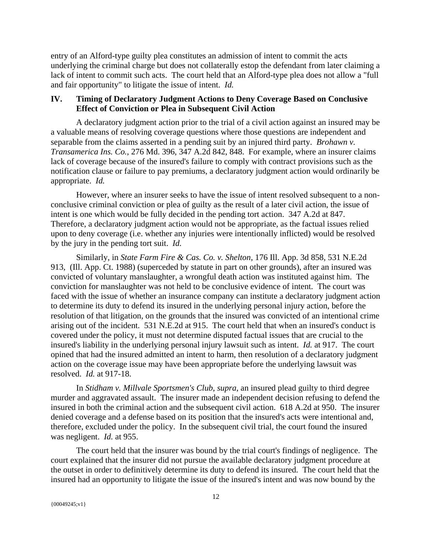entry of an Alford-type guilty plea constitutes an admission of intent to commit the acts underlying the criminal charge but does not collaterally estop the defendant from later claiming a lack of intent to commit such acts. The court held that an Alford-type plea does not allow a "full and fair opportunity" to litigate the issue of intent. *Id.* 

# **IV. Timing of Declaratory Judgment Actions to Deny Coverage Based on Conclusive Effect of Conviction or Plea in Subsequent Civil Action**

A declaratory judgment action prior to the trial of a civil action against an insured may be a valuable means of resolving coverage questions where those questions are independent and separable from the claims asserted in a pending suit by an injured third party. *Brohawn v. Transamerica Ins. Co.*, 276 Md. 396, 347 A.2d 842, 848. For example, where an insurer claims lack of coverage because of the insured's failure to comply with contract provisions such as the notification clause or failure to pay premiums, a declaratory judgment action would ordinarily be appropriate. *Id.*

 However, where an insurer seeks to have the issue of intent resolved subsequent to a nonconclusive criminal conviction or plea of guilty as the result of a later civil action, the issue of intent is one which would be fully decided in the pending tort action. 347 A.2d at 847. Therefore, a declaratory judgment action would not be appropriate, as the factual issues relied upon to deny coverage (i.e. whether any injuries were intentionally inflicted) would be resolved by the jury in the pending tort suit. *Id.*

 Similarly, in *State Farm Fire & Cas. Co. v. Shelton*, 176 Ill. App. 3d 858, 531 N.E.2d 913, (Ill. App. Ct. 1988) (superceded by statute in part on other grounds), after an insured was convicted of voluntary manslaughter, a wrongful death action was instituted against him. The conviction for manslaughter was not held to be conclusive evidence of intent. The court was faced with the issue of whether an insurance company can institute a declaratory judgment action to determine its duty to defend its insured in the underlying personal injury action, before the resolution of that litigation, on the grounds that the insured was convicted of an intentional crime arising out of the incident. 531 N.E.2d at 915. The court held that when an insured's conduct is covered under the policy, it must not determine disputed factual issues that are crucial to the insured's liability in the underlying personal injury lawsuit such as intent. *Id.* at 917. The court opined that had the insured admitted an intent to harm, then resolution of a declaratory judgment action on the coverage issue may have been appropriate before the underlying lawsuit was resolved. *Id.* at 917-18.

 In *Stidham v. Millvale Sportsmen's Club*, *supra*, an insured plead guilty to third degree murder and aggravated assault. The insurer made an independent decision refusing to defend the insured in both the criminal action and the subsequent civil action. 618 A.2d at 950. The insurer denied coverage and a defense based on its position that the insured's acts were intentional and, therefore, excluded under the policy. In the subsequent civil trial, the court found the insured was negligent. *Id.* at 955.

 The court held that the insurer was bound by the trial court's findings of negligence. The court explained that the insurer did not pursue the available declaratory judgment procedure at the outset in order to definitively determine its duty to defend its insured. The court held that the insured had an opportunity to litigate the issue of the insured's intent and was now bound by the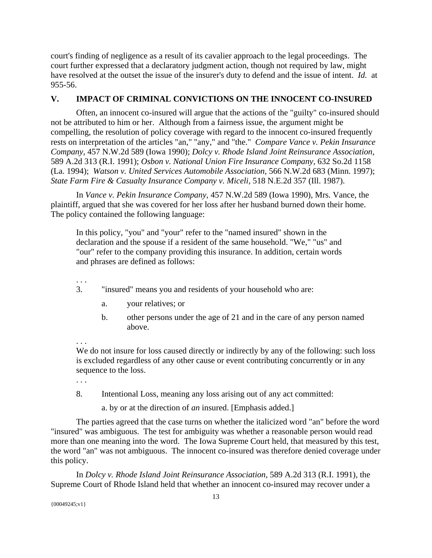court's finding of negligence as a result of its cavalier approach to the legal proceedings. The court further expressed that a declaratory judgment action, though not required by law, might have resolved at the outset the issue of the insurer's duty to defend and the issue of intent. *Id.* at 955-56.

# **V. IMPACT OF CRIMINAL CONVICTIONS ON THE INNOCENT CO-INSURED**

 Often, an innocent co-insured will argue that the actions of the "guilty" co-insured should not be attributed to him or her. Although from a fairness issue, the argument might be compelling, the resolution of policy coverage with regard to the innocent co-insured frequently rests on interpretation of the articles "an," "any," and "the." *Compare Vance v. Pekin Insurance Company,* 457 N.W.2d 589 (Iowa 1990); *Dolcy v. Rhode Island Joint Reinsurance Association,* 589 A.2d 313 (R.I. 1991); *Osbon v. National Union Fire Insurance Company,* 632 So.2d 1158 (La. 1994); *Watson v. United Services Automobile Association,* 566 N.W.2d 683 (Minn. 1997); *State Farm Fire & Casualty Insurance Company v. Miceli,* 518 N.E.2d 357 (Ill. 1987).

 In *Vance v. Pekin Insurance Company,* 457 N.W.2d 589 (Iowa 1990), Mrs. Vance, the plaintiff, argued that she was covered for her loss after her husband burned down their home. The policy contained the following language:

In this policy, "you" and "your" refer to the "named insured" shown in the declaration and the spouse if a resident of the same household. "We," "us" and "our" refer to the company providing this insurance. In addition, certain words and phrases are defined as follows:

- 3. "insured" means you and residents of your household who are:
	- a. your relatives; or
	- b. other persons under the age of 21 and in the care of any person named above.

. . .

. . .

We do not insure for loss caused directly or indirectly by any of the following: such loss is excluded regardless of any other cause or event contributing concurrently or in any sequence to the loss.

. . .

8. Intentional Loss, meaning any loss arising out of any act committed:

a. by or at the direction of *an* insured. [Emphasis added.]

The parties agreed that the case turns on whether the italicized word "an" before the word "insured" was ambiguous. The test for ambiguity was whether a reasonable person would read more than one meaning into the word. The Iowa Supreme Court held, that measured by this test, the word "an" was not ambiguous. The innocent co-insured was therefore denied coverage under this policy.

In *Dolcy v. Rhode Island Joint Reinsurance Association,* 589 A.2d 313 (R.I. 1991)*,* the Supreme Court of Rhode Island held that whether an innocent co-insured may recover under a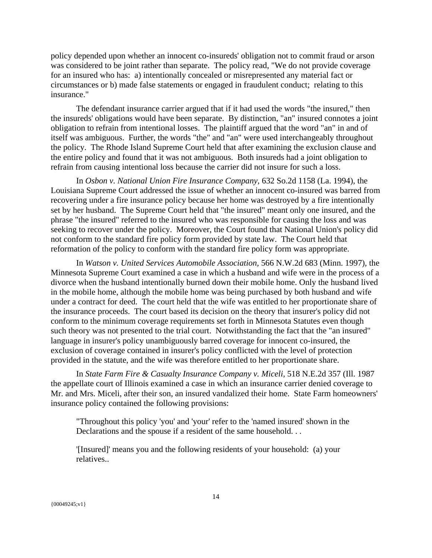policy depended upon whether an innocent co-insureds' obligation not to commit fraud or arson was considered to be joint rather than separate. The policy read, "We do not provide coverage for an insured who has: a) intentionally concealed or misrepresented any material fact or circumstances or b) made false statements or engaged in fraudulent conduct; relating to this insurance."

The defendant insurance carrier argued that if it had used the words "the insured," then the insureds' obligations would have been separate. By distinction, "an" insured connotes a joint obligation to refrain from intentional losses. The plaintiff argued that the word "an" in and of itself was ambiguous. Further, the words "the" and "an" were used interchangeably throughout the policy. The Rhode Island Supreme Court held that after examining the exclusion clause and the entire policy and found that it was not ambiguous. Both insureds had a joint obligation to refrain from causing intentional loss because the carrier did not insure for such a loss.

In *Osbon v. National Union Fire Insurance Company,* 632 So.2d 1158 (La. 1994), the Louisiana Supreme Court addressed the issue of whether an innocent co-insured was barred from recovering under a fire insurance policy because her home was destroyed by a fire intentionally set by her husband. The Supreme Court held that "the insured" meant only one insured, and the phrase "the insured" referred to the insured who was responsible for causing the loss and was seeking to recover under the policy. Moreover, the Court found that National Union's policy did not conform to the standard fire policy form provided by state law. The Court held that reformation of the policy to conform with the standard fire policy form was appropriate.

In *Watson v. United Services Automobile Association,* 566 N.W.2d 683 (Minn. 1997)*,* the Minnesota Supreme Court examined a case in which a husband and wife were in the process of a divorce when the husband intentionally burned down their mobile home. Only the husband lived in the mobile home, although the mobile home was being purchased by both husband and wife under a contract for deed. The court held that the wife was entitled to her proportionate share of the insurance proceeds. The court based its decision on the theory that insurer's policy did not conform to the minimum coverage requirements set forth in Minnesota Statutes even though such theory was not presented to the trial court. Notwithstanding the fact that the "an insured" language in insurer's policy unambiguously barred coverage for innocent co-insured, the exclusion of coverage contained in insurer's policy conflicted with the level of protection provided in the statute, and the wife was therefore entitled to her proportionate share.

 In *State Farm Fire & Casualty Insurance Company v. Miceli,* 518 N.E.2d 357 (Ill. 1987 the appellate court of Illinois examined a case in which an insurance carrier denied coverage to Mr. and Mrs. Miceli, after their son, an insured vandalized their home. State Farm homeowners' insurance policy contained the following provisions:

"Throughout this policy 'you' and 'your' refer to the 'named insured' shown in the Declarations and the spouse if a resident of the same household. . .

'[Insured]' means you and the following residents of your household: (a) your relatives..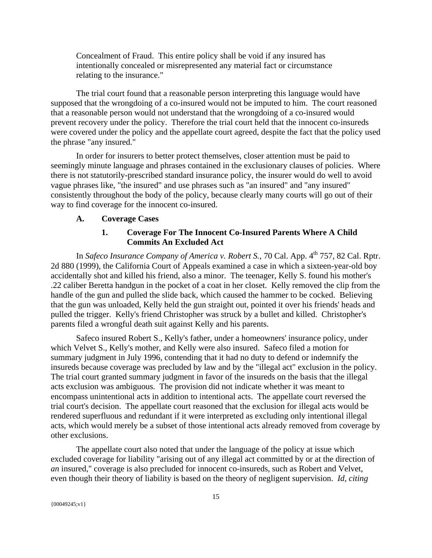Concealment of Fraud. This entire policy shall be void if any insured has intentionally concealed or misrepresented any material fact or circumstance relating to the insurance."

The trial court found that a reasonable person interpreting this language would have supposed that the wrongdoing of a co-insured would not be imputed to him. The court reasoned that a reasonable person would not understand that the wrongdoing of a co-insured would prevent recovery under the policy. Therefore the trial court held that the innocent co-insureds were covered under the policy and the appellate court agreed, despite the fact that the policy used the phrase "any insured."

 In order for insurers to better protect themselves, closer attention must be paid to seemingly minute language and phrases contained in the exclusionary clauses of policies. Where there is not statutorily-prescribed standard insurance policy, the insurer would do well to avoid vague phrases like, "the insured" and use phrases such as "an insured" and "any insured" consistently throughout the body of the policy, because clearly many courts will go out of their way to find coverage for the innocent co-insured.

#### **A. Coverage Cases**

# **1. Coverage For The Innocent Co-Insured Parents Where A Child Commits An Excluded Act**

In *Safeco Insurance Company of America v. Robert S.*, 70 Cal. App. 4<sup>th</sup> 757, 82 Cal. Rptr. 2d 880 (1999), the California Court of Appeals examined a case in which a sixteen-year-old boy accidentally shot and killed his friend, also a minor. The teenager, Kelly S. found his mother's .22 caliber Beretta handgun in the pocket of a coat in her closet. Kelly removed the clip from the handle of the gun and pulled the slide back, which caused the hammer to be cocked. Believing that the gun was unloaded, Kelly held the gun straight out, pointed it over his friends' heads and pulled the trigger. Kelly's friend Christopher was struck by a bullet and killed. Christopher's parents filed a wrongful death suit against Kelly and his parents.

 Safeco insured Robert S., Kelly's father, under a homeowners' insurance policy, under which Velvet S., Kelly's mother, and Kelly were also insured. Safeco filed a motion for summary judgment in July 1996, contending that it had no duty to defend or indemnify the insureds because coverage was precluded by law and by the "illegal act" exclusion in the policy. The trial court granted summary judgment in favor of the insureds on the basis that the illegal acts exclusion was ambiguous. The provision did not indicate whether it was meant to encompass unintentional acts in addition to intentional acts. The appellate court reversed the trial court's decision. The appellate court reasoned that the exclusion for illegal acts would be rendered superfluous and redundant if it were interpreted as excluding only intentional illegal acts, which would merely be a subset of those intentional acts already removed from coverage by other exclusions.

 The appellate court also noted that under the language of the policy at issue which excluded coverage for liability "arising out of any illegal act committed by or at the direction of *an* insured," coverage is also precluded for innocent co-insureds, such as Robert and Velvet, even though their theory of liability is based on the theory of negligent supervision. *Id, citing*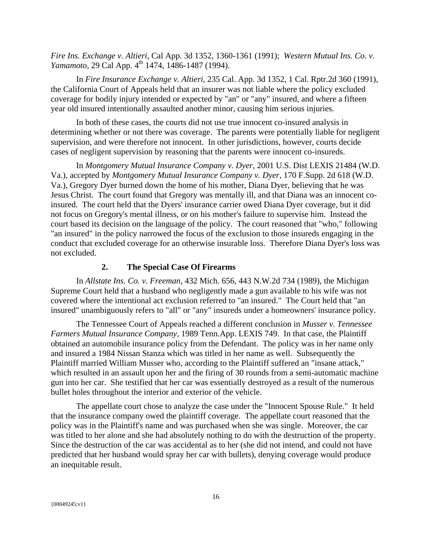*Fire Ins. Exchange v. Altieri,* Cal App. 3d 1352, 1360-1361 (1991); *Western Mutual Ins. Co. v. Yamamoto,* 29 Cal App. 4<sup>th</sup> 1474, 1486-1487 (1994).

 In *Fire Insurance Exchange v. Altieri*, 235 Cal. App. 3d 1352, 1 Cal. Rptr.2d 360 (1991), the California Court of Appeals held that an insurer was not liable where the policy excluded coverage for bodily injury intended or expected by "an" or "any" insured, and where a fifteen year old insured intentionally assaulted another minor, causing him serious injuries.

 In both of these cases, the courts did not use true innocent co-insured analysis in determining whether or not there was coverage. The parents were potentially liable for negligent supervision, and were therefore not innocent. In other jurisdictions, however, courts decide cases of negligent supervision by reasoning that the parents were innocent co-insureds.

 In *Montgomery Mutual Insurance Company v. Dyer,* 2001 U.S. Dist LEXIS 21484 (W.D. Va.), accepted by *Montgomery Mutual Insurance Company v. Dyer,* 170 F.Supp. 2d 618 (W.D. Va.), Gregory Dyer burned down the home of his mother, Diana Dyer, believing that he was Jesus Christ. The court found that Gregory was mentally ill, and that Diana was an innocent coinsured. The court held that the Dyers' insurance carrier owed Diana Dyer coverage, but it did not focus on Gregory's mental illness, or on his mother's failure to supervise him. Instead the court based its decision on the language of the policy. The court reasoned that "who," following "an insured" in the policy narrowed the focus of the exclusion to those insureds engaging in the conduct that excluded coverage for an otherwise insurable loss. Therefore Diana Dyer's loss was not excluded.

# **2. The Special Case Of Firearms**

 In *Allstate Ins. Co. v. Freeman*, 432 Mich. 656, 443 N.W.2d 734 (1989), the Michigan Supreme Court held that a husband who negligently made a gun available to his wife was not covered where the intentional act exclusion referred to "an insured." The Court held that "an insured" unambiguously refers to "all" or "any" insureds under a homeowners' insurance policy.

 The Tennessee Court of Appeals reached a different conclusion in *Musser v. Tennessee Farmers Mutual Insurance Company,* 1989 Tenn.App. LEXIS 749. In that case, the Plaintiff obtained an automobile insurance policy from the Defendant. The policy was in her name only and insured a 1984 Nissan Stanza which was titled in her name as well. Subsequently the Plaintiff married William Musser who, according to the Plaintiff suffered an "insane attack," which resulted in an assault upon her and the firing of 30 rounds from a semi-automatic machine gun into her car. She testified that her car was essentially destroyed as a result of the numerous bullet holes throughout the interior and exterior of the vehicle.

 The appellate court chose to analyze the case under the "Innocent Spouse Rule." It held that the insurance company owed the plaintiff coverage. The appellate court reasoned that the policy was in the Plaintiff's name and was purchased when she was single. Moreover, the car was titled to her alone and she had absolutely nothing to do with the destruction of the property. Since the destruction of the car was accidental as to her (she did not intend, and could not have predicted that her husband would spray her car with bullets), denying coverage would produce an inequitable result.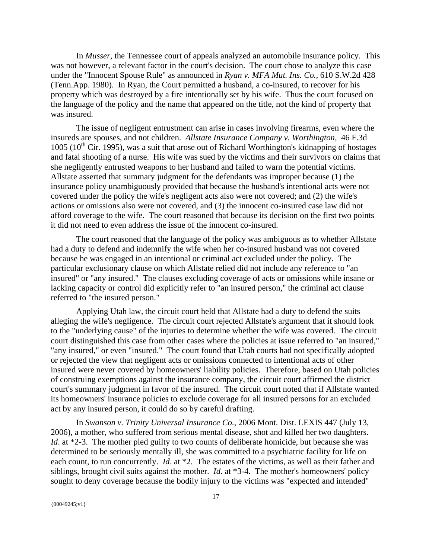In *Musser,* the Tennessee court of appeals analyzed an automobile insurance policy. This was not however, a relevant factor in the court's decision. The court chose to analyze this case under the "Innocent Spouse Rule" as announced in *Ryan v. MFA Mut. Ins. Co.,* 610 S.W.2d 428 (Tenn.App. 1980). In Ryan, the Court permitted a husband, a co-insured, to recover for his property which was destroyed by a fire intentionally set by his wife. Thus the court focused on the language of the policy and the name that appeared on the title, not the kind of property that was insured.

 The issue of negligent entrustment can arise in cases involving firearms, even where the insureds are spouses, and not children. *Allstate Insurance Company v. Worthington,* 46 F.3d 1005 ( $10^{th}$  Cir. 1995), was a suit that arose out of Richard Worthington's kidnapping of hostages and fatal shooting of a nurse. His wife was sued by the victims and their survivors on claims that she negligently entrusted weapons to her husband and failed to warn the potential victims. Allstate asserted that summary judgment for the defendants was improper because (1) the insurance policy unambiguously provided that because the husband's intentional acts were not covered under the policy the wife's negligent acts also were not covered; and (2) the wife's actions or omissions also were not covered, and (3) the innocent co-insured case law did not afford coverage to the wife. The court reasoned that because its decision on the first two points it did not need to even address the issue of the innocent co-insured.

 The court reasoned that the language of the policy was ambiguous as to whether Allstate had a duty to defend and indemnify the wife when her co-insured husband was not covered because he was engaged in an intentional or criminal act excluded under the policy. The particular exclusionary clause on which Allstate relied did not include any reference to "an insured" or "any insured." The clauses excluding coverage of acts or omissions while insane or lacking capacity or control did explicitly refer to "an insured person," the criminal act clause referred to "the insured person."

Applying Utah law, the circuit court held that Allstate had a duty to defend the suits alleging the wife's negligence. The circuit court rejected Allstate's argument that it should look to the "underlying cause" of the injuries to determine whether the wife was covered. The circuit court distinguished this case from other cases where the policies at issue referred to "an insured," "any insured," or even "insured." The court found that Utah courts had not specifically adopted or rejected the view that negligent acts or omissions connected to intentional acts of other insured were never covered by homeowners' liability policies. Therefore, based on Utah policies of construing exemptions against the insurance company, the circuit court affirmed the district court's summary judgment in favor of the insured. The circuit court noted that if Allstate wanted its homeowners' insurance policies to exclude coverage for all insured persons for an excluded act by any insured person, it could do so by careful drafting.

In *Swanson v. Trinity Universal Insurance Co.*, 2006 Mont. Dist. LEXIS 447 (July 13, 2006), a mother, who suffered from serious mental disease, shot and killed her two daughters. *Id.* at \*2-3. The mother pled guilty to two counts of deliberate homicide, but because she was determined to be seriously mentally ill, she was committed to a psychiatric facility for life on each count, to run concurrently. *Id*. at \*2. The estates of the victims, as well as their father and siblings, brought civil suits against the mother. *Id*. at \*3-4. The mother's homeowners' policy sought to deny coverage because the bodily injury to the victims was "expected and intended"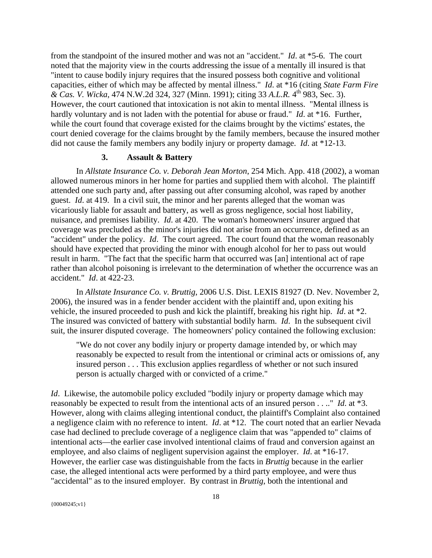from the standpoint of the insured mother and was not an "accident." *Id*. at \*5-6. The court noted that the majority view in the courts addressing the issue of a mentally ill insured is that "intent to cause bodily injury requires that the insured possess both cognitive and volitional capacities, either of which may be affected by mental illness." *Id*. at \*16 (citing *State Farm Fire & Cas. V. Wicka*, 474 N.W.2d 324, 327 (Minn. 1991); citing 33 *A.L.R.* 4th 983, Sec. 3). However, the court cautioned that intoxication is not akin to mental illness. "Mental illness is hardly voluntary and is not laden with the potential for abuse or fraud." *Id*. at \*16. Further, while the court found that coverage existed for the claims brought by the victims' estates, the court denied coverage for the claims brought by the family members, because the insured mother did not cause the family members any bodily injury or property damage. *Id*. at \*12-13.

#### **3. Assault & Battery**

In *Allstate Insurance Co. v. Deborah Jean Morton*, 254 Mich. App. 418 (2002), a woman allowed numerous minors in her home for parties and supplied them with alcohol. The plaintiff attended one such party and, after passing out after consuming alcohol, was raped by another guest. *Id*. at 419. In a civil suit, the minor and her parents alleged that the woman was vicariously liable for assault and battery, as well as gross negligence, social host liability, nuisance, and premises liability. *Id*. at 420. The woman's homeowners' insurer argued that coverage was precluded as the minor's injuries did not arise from an occurrence, defined as an "accident" under the policy. *Id*. The court agreed. The court found that the woman reasonably should have expected that providing the minor with enough alcohol for her to pass out would result in harm. "The fact that the specific harm that occurred was [an] intentional act of rape rather than alcohol poisoning is irrelevant to the determination of whether the occurrence was an accident." *Id*. at 422-23.

In *Allstate Insurance Co. v. Bruttig*, 2006 U.S. Dist. LEXIS 81927 (D. Nev. November 2, 2006), the insured was in a fender bender accident with the plaintiff and, upon exiting his vehicle, the insured proceeded to push and kick the plaintiff, breaking his right hip. *Id*. at \*2. The insured was convicted of battery with substantial bodily harm. *Id*. In the subsequent civil suit, the insurer disputed coverage. The homeowners' policy contained the following exclusion:

"We do not cover any bodily injury or property damage intended by, or which may reasonably be expected to result from the intentional or criminal acts or omissions of, any insured person . . . This exclusion applies regardless of whether or not such insured person is actually charged with or convicted of a crime."

*Id.* Likewise, the automobile policy excluded "bodily injury or property damage which may reasonably be expected to result from the intentional acts of an insured person . . .." *Id*. at \*3. However, along with claims alleging intentional conduct, the plaintiff's Complaint also contained a negligence claim with no reference to intent. *Id*. at \*12. The court noted that an earlier Nevada case had declined to preclude coverage of a negligence claim that was "appended to" claims of intentional acts—the earlier case involved intentional claims of fraud and conversion against an employee, and also claims of negligent supervision against the employer. *Id*. at \*16-17. However, the earlier case was distinguishable from the facts in *Bruttig* because in the earlier case, the alleged intentional acts were performed by a third party employee, and were thus "accidental" as to the insured employer. By contrast in *Bruttig*, both the intentional and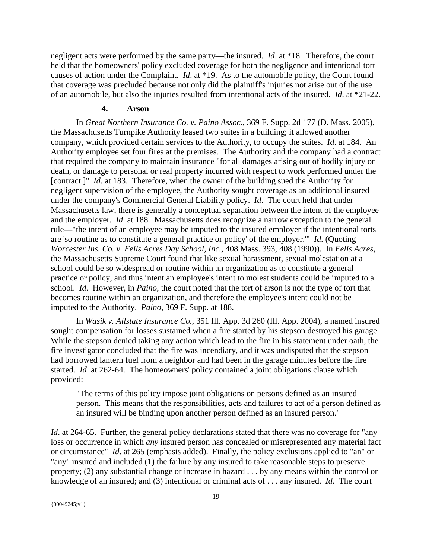negligent acts were performed by the same party—the insured. *Id*. at \*18. Therefore, the court held that the homeowners' policy excluded coverage for both the negligence and intentional tort causes of action under the Complaint. *Id*. at \*19. As to the automobile policy, the Court found that coverage was precluded because not only did the plaintiff's injuries not arise out of the use of an automobile, but also the injuries resulted from intentional acts of the insured. *Id*. at \*21-22.

# **4. Arson**

In *Great Northern Insurance Co. v. Paino Assoc.*, 369 F. Supp. 2d 177 (D. Mass. 2005), the Massachusetts Turnpike Authority leased two suites in a building; it allowed another company, which provided certain services to the Authority, to occupy the suites. *Id*. at 184. An Authority employee set four fires at the premises. The Authority and the company had a contract that required the company to maintain insurance "for all damages arising out of bodily injury or death, or damage to personal or real property incurred with respect to work performed under the [contract.]" *Id*. at 183. Therefore, when the owner of the building sued the Authority for negligent supervision of the employee, the Authority sought coverage as an additional insured under the company's Commercial General Liability policy. *Id*. The court held that under Massachusetts law, there is generally a conceptual separation between the intent of the employee and the employer. *Id*. at 188. Massachusetts does recognize a narrow exception to the general rule—"the intent of an employee may be imputed to the insured employer if the intentional torts are 'so routine as to constitute a general practice or policy' of the employer.'" *Id*. (Quoting *Worcester Ins. Co. v. Fells Acres Day School, Inc.,* 408 Mass. 393, 408 (1990)). In *Fells Acres*, the Massachusetts Supreme Court found that like sexual harassment, sexual molestation at a school could be so widespread or routine within an organization as to constitute a general practice or policy, and thus intent an employee's intent to molest students could be imputed to a school. *Id*. However, in *Paino*, the court noted that the tort of arson is not the type of tort that becomes routine within an organization, and therefore the employee's intent could not be imputed to the Authority. *Paino*, 369 F. Supp. at 188.

In *Wasik v. Allstate Insurance Co.*, 351 Ill. App. 3d 260 (Ill. App. 2004), a named insured sought compensation for losses sustained when a fire started by his stepson destroyed his garage. While the stepson denied taking any action which lead to the fire in his statement under oath, the fire investigator concluded that the fire was incendiary, and it was undisputed that the stepson had borrowed lantern fuel from a neighbor and had been in the garage minutes before the fire started. *Id*. at 262-64. The homeowners' policy contained a joint obligations clause which provided:

"The terms of this policy impose joint obligations on persons defined as an insured person. This means that the responsibilities, acts and failures to act of a person defined as an insured will be binding upon another person defined as an insured person."

*Id.* at 264-65. Further, the general policy declarations stated that there was no coverage for "any loss or occurrence in which *any* insured person has concealed or misrepresented any material fact or circumstance" *Id*. at 265 (emphasis added). Finally, the policy exclusions applied to "an" or "any" insured and included (1) the failure by any insured to take reasonable steps to preserve property; (2) any substantial change or increase in hazard . . . by any means within the control or knowledge of an insured; and (3) intentional or criminal acts of . . . any insured. *Id*. The court